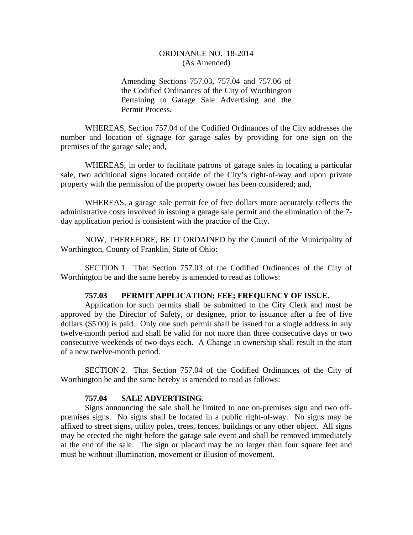# ORDINANCE NO. 18-2014 (As Amended)

Amending Sections 757.03, 757.04 and 757.06 of the Codified Ordinances of the City of Worthington Pertaining to Garage Sale Advertising and the Permit Process.

WHEREAS, Section 757.04 of the Codified Ordinances of the City addresses the number and location of signage for garage sales by providing for one sign on the premises of the garage sale; and,

WHEREAS, in order to facilitate patrons of garage sales in locating a particular sale, two additional signs located outside of the City's right-of-way and upon private property with the permission of the property owner has been considered; and,

WHEREAS, a garage sale permit fee of five dollars more accurately reflects the administrative costs involved in issuing a garage sale permit and the elimination of the 7 day application period is consistent with the practice of the City.

 NOW, THEREFORE, BE IT ORDAINED by the Council of the Municipality of Worthington, County of Franklin, State of Ohio:

 SECTION 1. That Section 757.03 of the Codified Ordinances of the City of Worthington be and the same hereby is amended to read as follows:

#### **757.03 PERMIT APPLICATION; FEE; FREQUENCY OF ISSUE.**

Application for such permits shall be submitted to the City Clerk and must be approved by the Director of Safety, or designee, prior to issuance after a fee of five dollars (\$5.00) is paid. Only one such permit shall be issued for a single address in any twelve-month period and shall be valid for not more than three consecutive days or two consecutive weekends of two days each. A Change in ownership shall result in the start of a new twelve-month period.

 SECTION 2. That Section 757.04 of the Codified Ordinances of the City of Worthington be and the same hereby is amended to read as follows:

### **757.04 SALE ADVERTISING.**

 Signs announcing the sale shall be limited to one on-premises sign and two offpremises signs. No signs shall be located in a public right-of-way. No signs may be affixed to street signs, utility poles, trees, fences, buildings or any other object. All signs may be erected the night before the garage sale event and shall be removed immediately at the end of the sale. The sign or placard may be no larger than four square feet and must be without illumination, movement or illusion of movement.